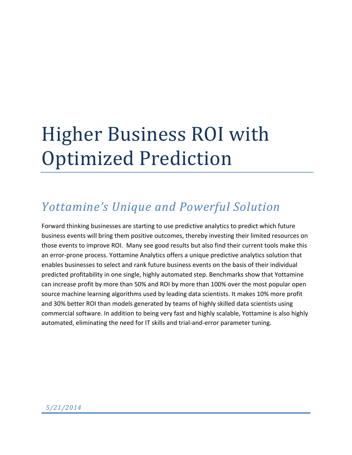# Higher Business ROI with **Optimized Prediction**

# *Yottamine's Unique and Powerful Solution*

Forward thinking businesses are starting to use predictive analytics to predict which future business events will bring them positive outcomes, thereby investing their limited resources on those events to improve ROI. Many see good results but also find their current tools make this an error-prone process. Yottamine Analytics offers a unique predictive analytics solution that enables businesses to select and rank future business events on the basis of their individual predicted profitability in one single, highly automated step. Benchmarks show that Yottamine can increase profit by more than 50% and ROI by more than 100% over the most popular open source machine learning algorithms used by leading data scientists. It makes 10% more profit and 30% better ROI than models generated by teams of highly skilled data scientists using commercial software. In addition to being very fast and highly scalable, Yottamine is also highly automated, eliminating the need for IT skills and trial-and-error parameter tuning.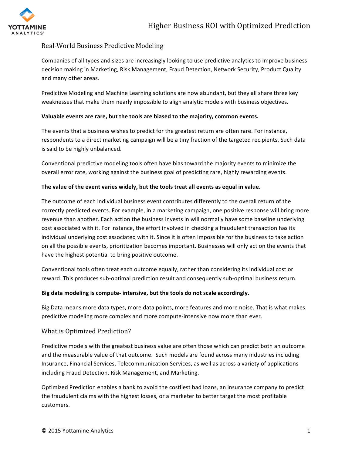

# Real-World Business Predictive Modeling

Companies of all types and sizes are increasingly looking to use predictive analytics to improve business decision making in Marketing, Risk Management, Fraud Detection, Network Security, Product Quality and many other areas.

Predictive Modeling and Machine Learning solutions are now abundant, but they all share three key weaknesses that make them nearly impossible to align analytic models with business objectives.

#### Valuable events are rare, but the tools are biased to the majority, common events.

The events that a business wishes to predict for the greatest return are often rare. For instance, respondents to a direct marketing campaign will be a tiny fraction of the targeted recipients. Such data is said to be highly unbalanced.

Conventional predictive modeling tools often have bias toward the majority events to minimize the overall error rate, working against the business goal of predicting rare, highly rewarding events.

#### The value of the event varies widely, but the tools treat all events as equal in value.

The outcome of each individual business event contributes differently to the overall return of the correctly predicted events. For example, in a marketing campaign, one positive response will bring more revenue than another. Each action the business invests in will normally have some baseline underlying cost associated with it. For instance, the effort involved in checking a fraudulent transaction has its individual underlying cost associated with it. Since it is often impossible for the business to take action on all the possible events, prioritization becomes important. Businesses will only act on the events that have the highest potential to bring positive outcome.

Conventional tools often treat each outcome equally, rather than considering its individual cost or reward. This produces sub-optimal prediction result and consequently sub-optimal business return.

#### Big data modeling is compute- intensive, but the tools do not scale accordingly.

Big Data means more data types, more data points, more features and more noise. That is what makes predictive modeling more complex and more compute-intensive now more than ever.

# What is Optimized Prediction?

Predictive models with the greatest business value are often those which can predict both an outcome and the measurable value of that outcome. Such models are found across many industries including Insurance, Financial Services, Telecommunication Services, as well as across a variety of applications including Fraud Detection, Risk Management, and Marketing.

Optimized Prediction enables a bank to avoid the costliest bad loans, an insurance company to predict the fraudulent claims with the highest losses, or a marketer to better target the most profitable customers.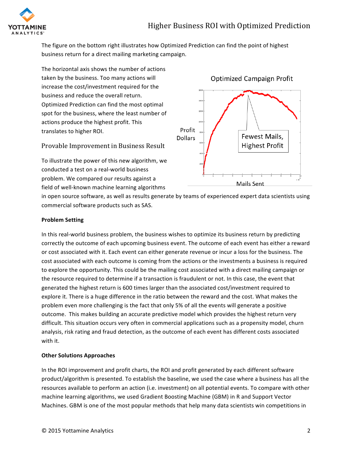

The figure on the bottom right illustrates how Optimized Prediction can find the point of highest business return for a direct mailing marketing campaign.

The horizontal axis shows the number of actions taken by the business. Too many actions will increase the cost/investment required for the business and reduce the overall return. Optimized Prediction can find the most optimal spot for the business, where the least number of actions produce the highest profit. This translates to higher ROI.

# Provable Improvement in Business Result

To illustrate the power of this new algorithm, we conducted a test on a real-world business problem. We compared our results against a field of well-known machine learning algorithms



in open source software, as well as results generate by teams of experienced expert data scientists using commercial software products such as SAS.

#### **Problem Setting**

In this real-world business problem, the business wishes to optimize its business return by predicting correctly the outcome of each upcoming business event. The outcome of each event has either a reward or cost associated with it. Each event can either generate revenue or incur a loss for the business. The cost associated with each outcome is coming from the actions or the investments a business is required to explore the opportunity. This could be the mailing cost associated with a direct mailing campaign or the resource required to determine if a transaction is fraudulent or not. In this case, the event that generated the highest return is 600 times larger than the associated cost/investment required to explore it. There is a huge difference in the ratio between the reward and the cost. What makes the problem even more challenging is the fact that only 5% of all the events will generate a positive outcome. This makes building an accurate predictive model which provides the highest return very difficult. This situation occurs very often in commercial applications such as a propensity model, churn analysis, risk rating and fraud detection, as the outcome of each event has different costs associated with it.

#### **Other Solutions Approaches**

In the ROI improvement and profit charts, the ROI and profit generated by each different software product/algorithm is presented. To establish the baseline, we used the case where a business has all the resources available to perform an action (i.e. investment) on all potential events. To compare with other machine learning algorithms, we used Gradient Boosting Machine (GBM) in R and Support Vector Machines. GBM is one of the most popular methods that help many data scientists win competitions in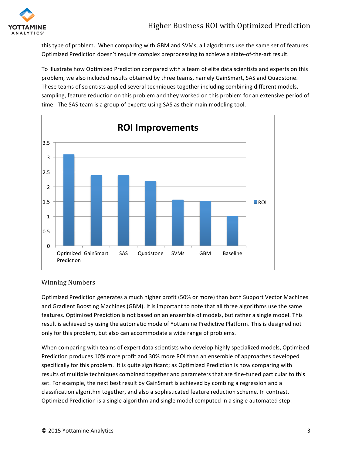

this type of problem. When comparing with GBM and SVMs, all algorithms use the same set of features. Optimized Prediction doesn't require complex preprocessing to achieve a state-of-the-art result.

To illustrate how Optimized Prediction compared with a team of elite data scientists and experts on this problem, we also included results obtained by three teams, namely GainSmart, SAS and Quadstone. These teams of scientists applied several techniques together including combining different models, sampling, feature reduction on this problem and they worked on this problem for an extensive period of time. The SAS team is a group of experts using SAS as their main modeling tool.



# Winning Numbers

Optimized Prediction generates a much higher profit (50% or more) than both Support Vector Machines and Gradient Boosting Machines (GBM). It is important to note that all three algorithms use the same features. Optimized Prediction is not based on an ensemble of models, but rather a single model. This result is achieved by using the automatic mode of Yottamine Predictive Platform. This is designed not only for this problem, but also can accommodate a wide range of problems.

When comparing with teams of expert data scientists who develop highly specialized models, Optimized Prediction produces 10% more profit and 30% more ROI than an ensemble of approaches developed specifically for this problem. It is quite significant; as Optimized Prediction is now comparing with results of multiple techniques combined together and parameters that are fine-tuned particular to this set. For example, the next best result by GainSmart is achieved by combing a regression and a classification algorithm together, and also a sophisticated feature reduction scheme. In contrast, Optimized Prediction is a single algorithm and single model computed in a single automated step.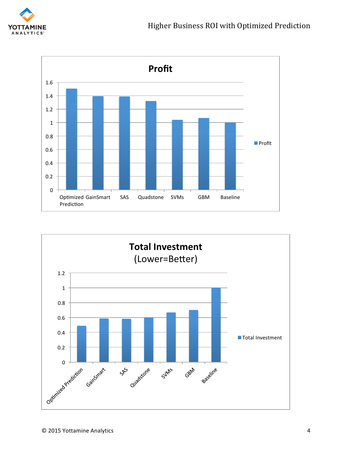